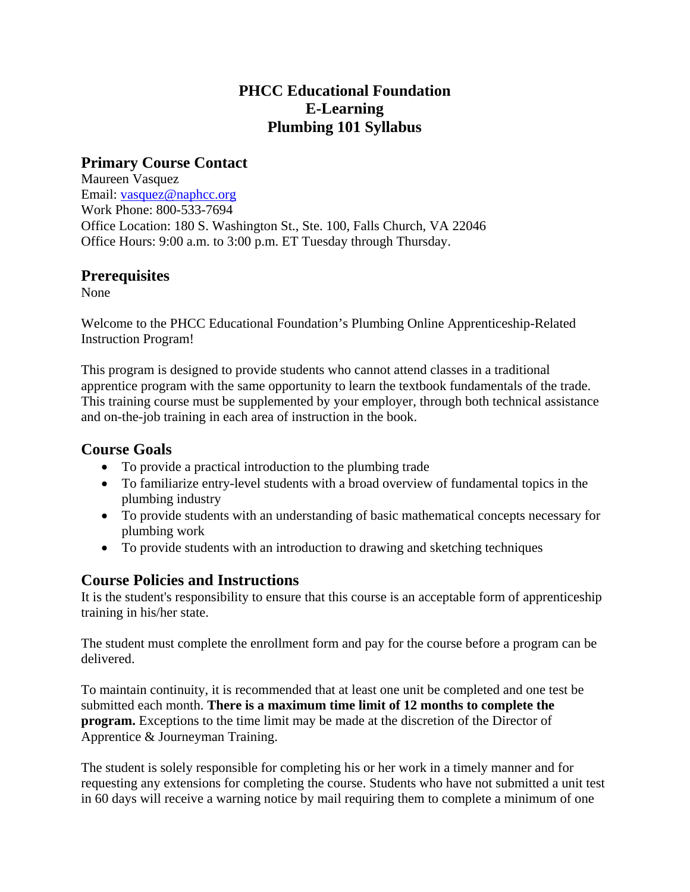# **PHCC Educational Foundation E-Learning Plumbing 101 Syllabus**

# **Primary Course Contact**

Maureen Vasquez Email: vasquez@naphcc.org Work Phone: 800-533-7694 Office Location: 180 S. Washington St., Ste. 100, Falls Church, VA 22046 Office Hours: 9:00 a.m. to 3:00 p.m. ET Tuesday through Thursday.

## **Prerequisites**

None

Welcome to the PHCC Educational Foundation's Plumbing Online Apprenticeship-Related Instruction Program!

This program is designed to provide students who cannot attend classes in a traditional apprentice program with the same opportunity to learn the textbook fundamentals of the trade. This training course must be supplemented by your employer, through both technical assistance and on-the-job training in each area of instruction in the book.

## **Course Goals**

- To provide a practical introduction to the plumbing trade
- To familiarize entry-level students with a broad overview of fundamental topics in the plumbing industry
- To provide students with an understanding of basic mathematical concepts necessary for plumbing work
- To provide students with an introduction to drawing and sketching techniques

# **Course Policies and Instructions**

It is the student's responsibility to ensure that this course is an acceptable form of apprenticeship training in his/her state.

The student must complete the enrollment form and pay for the course before a program can be delivered.

To maintain continuity, it is recommended that at least one unit be completed and one test be submitted each month. **There is a maximum time limit of 12 months to complete the program.** Exceptions to the time limit may be made at the discretion of the Director of Apprentice & Journeyman Training.

The student is solely responsible for completing his or her work in a timely manner and for requesting any extensions for completing the course. Students who have not submitted a unit test in 60 days will receive a warning notice by mail requiring them to complete a minimum of one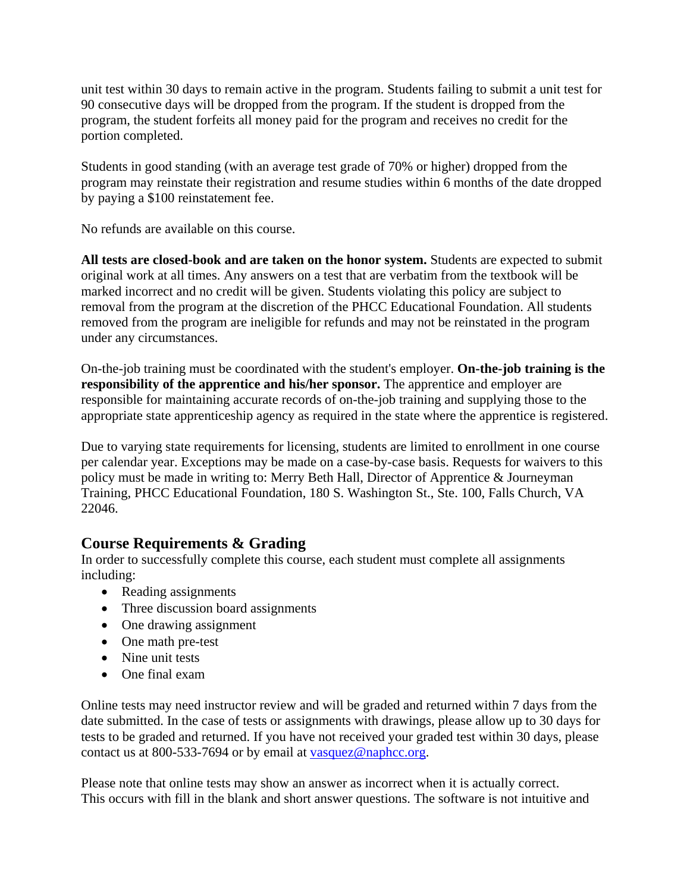unit test within 30 days to remain active in the program. Students failing to submit a unit test for 90 consecutive days will be dropped from the program. If the student is dropped from the program, the student forfeits all money paid for the program and receives no credit for the portion completed.

Students in good standing (with an average test grade of 70% or higher) dropped from the program may reinstate their registration and resume studies within 6 months of the date dropped by paying a \$100 reinstatement fee.

No refunds are available on this course.

**All tests are closed-book and are taken on the honor system.** Students are expected to submit original work at all times. Any answers on a test that are verbatim from the textbook will be marked incorrect and no credit will be given. Students violating this policy are subject to removal from the program at the discretion of the PHCC Educational Foundation. All students removed from the program are ineligible for refunds and may not be reinstated in the program under any circumstances.

On-the-job training must be coordinated with the student's employer. **On-the-job training is the responsibility of the apprentice and his/her sponsor.** The apprentice and employer are responsible for maintaining accurate records of on-the-job training and supplying those to the appropriate state apprenticeship agency as required in the state where the apprentice is registered.

Due to varying state requirements for licensing, students are limited to enrollment in one course per calendar year. Exceptions may be made on a case-by-case basis. Requests for waivers to this policy must be made in writing to: Merry Beth Hall, Director of Apprentice & Journeyman Training, PHCC Educational Foundation, 180 S. Washington St., Ste. 100, Falls Church, VA 22046.

# **Course Requirements & Grading**

In order to successfully complete this course, each student must complete all assignments including:

- Reading assignments
- Three discussion board assignments
- One drawing assignment
- One math pre-test
- Nine unit tests
- One final exam

Online tests may need instructor review and will be graded and returned within 7 days from the date submitted. In the case of tests or assignments with drawings, please allow up to 30 days for tests to be graded and returned. If you have not received your graded test within 30 days, please contact us at 800-533-7694 or by email at vasquez@naphcc.org.

Please note that online tests may show an answer as incorrect when it is actually correct. This occurs with fill in the blank and short answer questions. The software is not intuitive and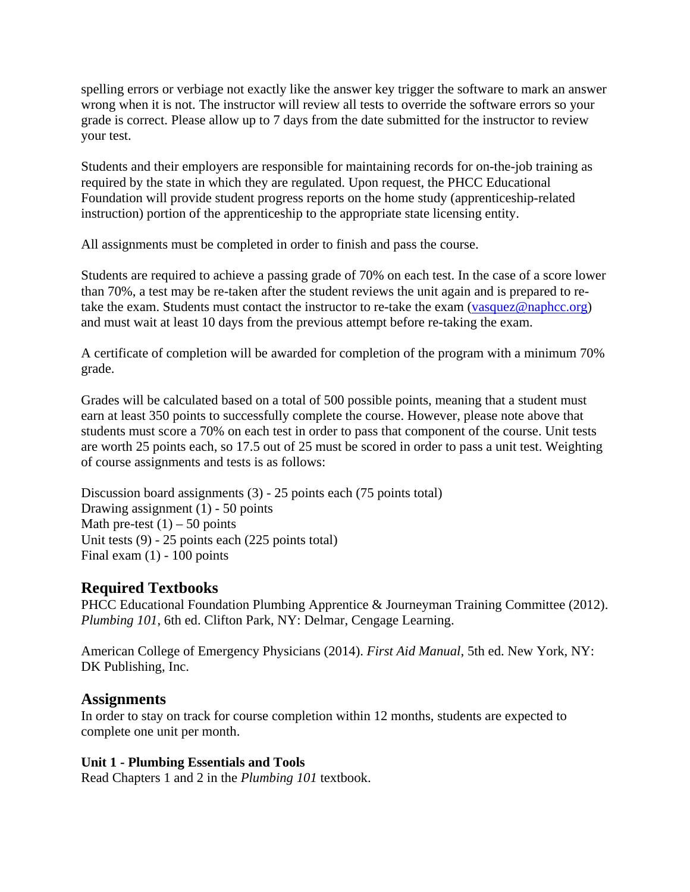spelling errors or verbiage not exactly like the answer key trigger the software to mark an answer wrong when it is not. The instructor will review all tests to override the software errors so your grade is correct. Please allow up to 7 days from the date submitted for the instructor to review your test.

Students and their employers are responsible for maintaining records for on-the-job training as required by the state in which they are regulated. Upon request, the PHCC Educational Foundation will provide student progress reports on the home study (apprenticeship-related instruction) portion of the apprenticeship to the appropriate state licensing entity.

All assignments must be completed in order to finish and pass the course.

Students are required to achieve a passing grade of 70% on each test. In the case of a score lower than 70%, a test may be re-taken after the student reviews the unit again and is prepared to retake the exam. Students must contact the instructor to re-take the exam (vasquez@naphcc.org) and must wait at least 10 days from the previous attempt before re-taking the exam.

A certificate of completion will be awarded for completion of the program with a minimum 70% grade.

Grades will be calculated based on a total of 500 possible points, meaning that a student must earn at least 350 points to successfully complete the course. However, please note above that students must score a 70% on each test in order to pass that component of the course. Unit tests are worth 25 points each, so 17.5 out of 25 must be scored in order to pass a unit test. Weighting of course assignments and tests is as follows:

Discussion board assignments (3) - 25 points each (75 points total) Drawing assignment  $(1)$  - 50 points Math pre-test  $(1)$  – 50 points Unit tests (9) - 25 points each (225 points total) Final exam  $(1)$  - 100 points

# **Required Textbooks**

PHCC Educational Foundation Plumbing Apprentice & Journeyman Training Committee (2012). *Plumbing 101*, 6th ed. Clifton Park, NY: Delmar, Cengage Learning.

American College of Emergency Physicians (2014). *First Aid Manual*, 5th ed. New York, NY: DK Publishing, Inc.

### **Assignments**

In order to stay on track for course completion within 12 months, students are expected to complete one unit per month.

### **Unit 1 - Plumbing Essentials and Tools**

Read Chapters 1 and 2 in the *Plumbing 101* textbook.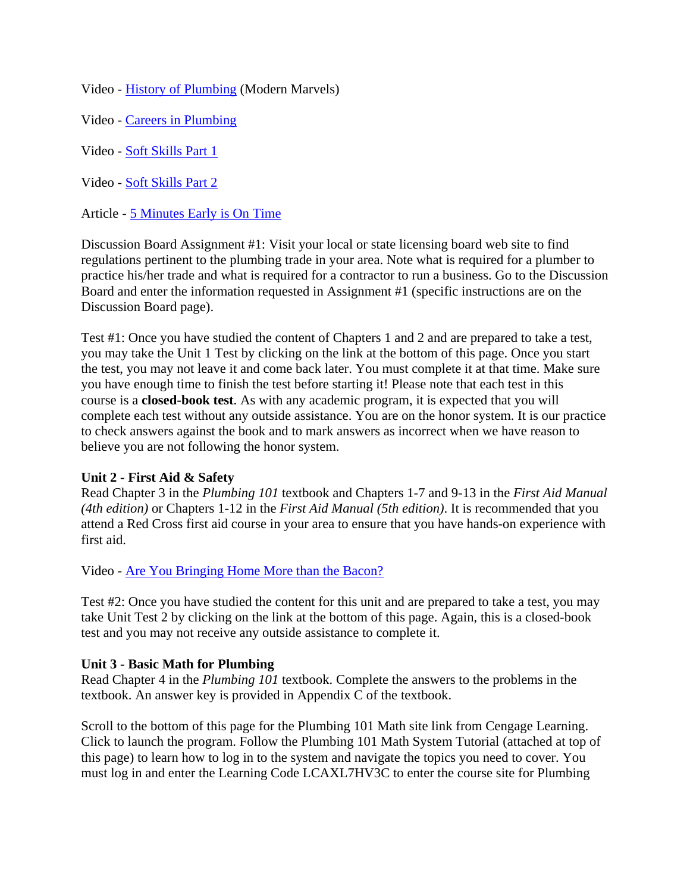Video - History of Plumbing (Modern Marvels)

Video - Careers in Plumbing

Video - Soft Skills Part 1

Video - Soft Skills Part 2

Article - 5 Minutes Early is On Time

Discussion Board Assignment #1: Visit your local or state licensing board web site to find regulations pertinent to the plumbing trade in your area. Note what is required for a plumber to practice his/her trade and what is required for a contractor to run a business. Go to the Discussion Board and enter the information requested in Assignment #1 (specific instructions are on the Discussion Board page).

Test #1: Once you have studied the content of Chapters 1 and 2 and are prepared to take a test, you may take the Unit 1 Test by clicking on the link at the bottom of this page. Once you start the test, you may not leave it and come back later. You must complete it at that time. Make sure you have enough time to finish the test before starting it! Please note that each test in this course is a **closed-book test**. As with any academic program, it is expected that you will complete each test without any outside assistance. You are on the honor system. It is our practice to check answers against the book and to mark answers as incorrect when we have reason to believe you are not following the honor system.

#### **Unit 2 - First Aid & Safety**

Read Chapter 3 in the *Plumbing 101* textbook and Chapters 1-7 and 9-13 in the *First Aid Manual (4th edition)* or Chapters 1-12 in the *First Aid Manual (5th edition)*. It is recommended that you attend a Red Cross first aid course in your area to ensure that you have hands-on experience with first aid.

Video - Are You Bringing Home More than the Bacon?

Test #2: Once you have studied the content for this unit and are prepared to take a test, you may take Unit Test 2 by clicking on the link at the bottom of this page. Again, this is a closed-book test and you may not receive any outside assistance to complete it.

#### **Unit 3 - Basic Math for Plumbing**

Read Chapter 4 in the *Plumbing 101* textbook. Complete the answers to the problems in the textbook. An answer key is provided in Appendix C of the textbook.

Scroll to the bottom of this page for the Plumbing 101 Math site link from Cengage Learning. Click to launch the program. Follow the Plumbing 101 Math System Tutorial (attached at top of this page) to learn how to log in to the system and navigate the topics you need to cover. You must log in and enter the Learning Code LCAXL7HV3C to enter the course site for Plumbing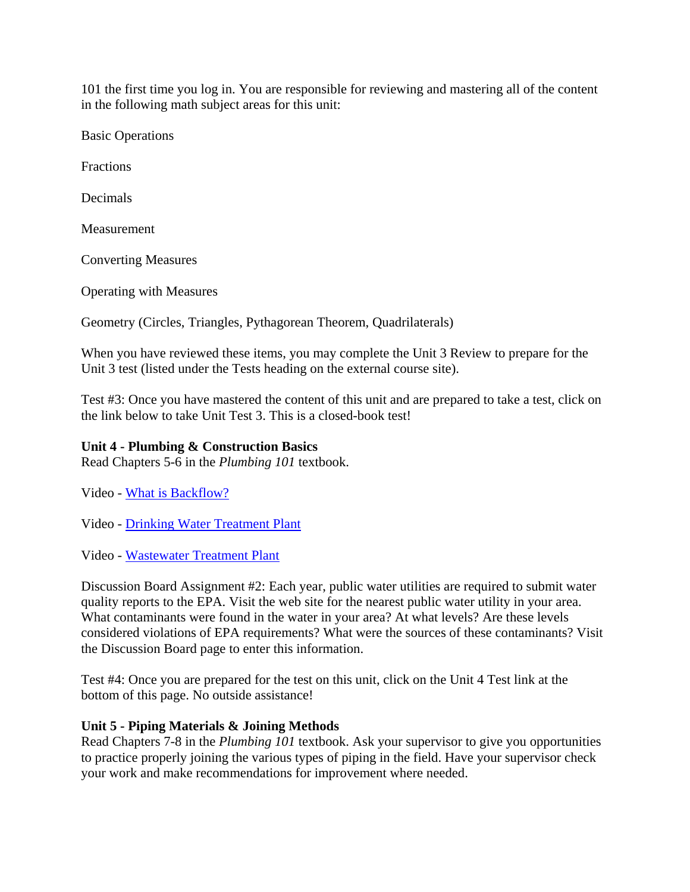101 the first time you log in. You are responsible for reviewing and mastering all of the content in the following math subject areas for this unit:

Basic Operations

Fractions

Decimals

**Measurement** 

Converting Measures

Operating with Measures

Geometry (Circles, Triangles, Pythagorean Theorem, Quadrilaterals)

When you have reviewed these items, you may complete the Unit 3 Review to prepare for the Unit 3 test (listed under the Tests heading on the external course site).

Test #3: Once you have mastered the content of this unit and are prepared to take a test, click on the link below to take Unit Test 3. This is a closed-book test!

### **Unit 4 - Plumbing & Construction Basics**

Read Chapters 5-6 in the *Plumbing 101* textbook.

Video - What is Backflow?

Video - Drinking Water Treatment Plant

Video - Wastewater Treatment Plant

Discussion Board Assignment #2: Each year, public water utilities are required to submit water quality reports to the EPA. Visit the web site for the nearest public water utility in your area. What contaminants were found in the water in your area? At what levels? Are these levels considered violations of EPA requirements? What were the sources of these contaminants? Visit the Discussion Board page to enter this information.

Test #4: Once you are prepared for the test on this unit, click on the Unit 4 Test link at the bottom of this page. No outside assistance!

#### **Unit 5 - Piping Materials & Joining Methods**

Read Chapters 7-8 in the *Plumbing 101* textbook. Ask your supervisor to give you opportunities to practice properly joining the various types of piping in the field. Have your supervisor check your work and make recommendations for improvement where needed.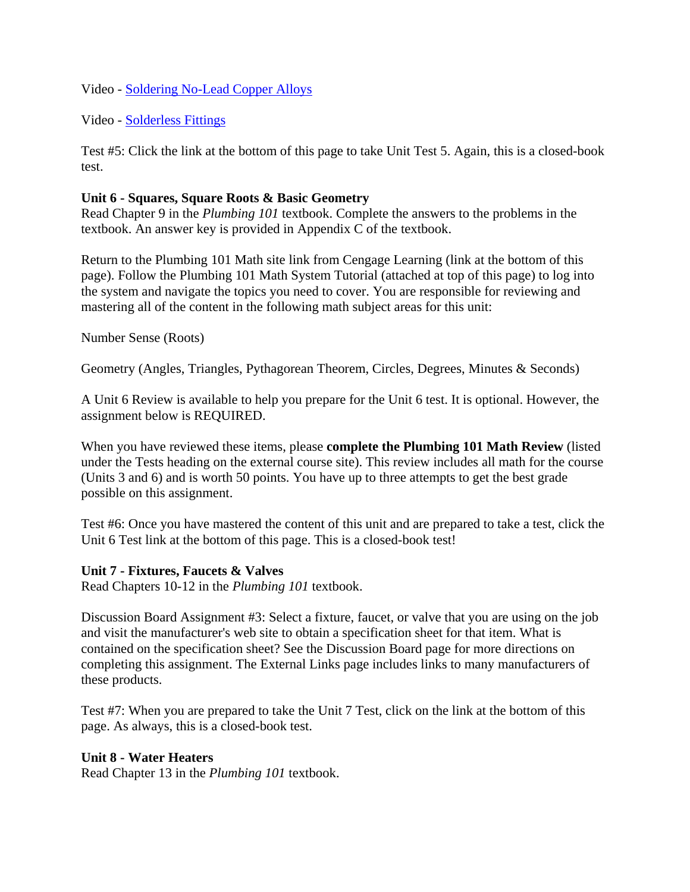Video - Soldering No-Lead Copper Alloys

Video - Solderless Fittings

Test #5: Click the link at the bottom of this page to take Unit Test 5. Again, this is a closed-book test.

### **Unit 6 - Squares, Square Roots & Basic Geometry**

Read Chapter 9 in the *Plumbing 101* textbook. Complete the answers to the problems in the textbook. An answer key is provided in Appendix C of the textbook.

Return to the Plumbing 101 Math site link from Cengage Learning (link at the bottom of this page). Follow the Plumbing 101 Math System Tutorial (attached at top of this page) to log into the system and navigate the topics you need to cover. You are responsible for reviewing and mastering all of the content in the following math subject areas for this unit:

Number Sense (Roots)

Geometry (Angles, Triangles, Pythagorean Theorem, Circles, Degrees, Minutes & Seconds)

A Unit 6 Review is available to help you prepare for the Unit 6 test. It is optional. However, the assignment below is REQUIRED.

When you have reviewed these items, please **complete the Plumbing 101 Math Review** (listed under the Tests heading on the external course site). This review includes all math for the course (Units 3 and 6) and is worth 50 points. You have up to three attempts to get the best grade possible on this assignment.

Test #6: Once you have mastered the content of this unit and are prepared to take a test, click the Unit 6 Test link at the bottom of this page. This is a closed-book test!

#### **Unit 7 - Fixtures, Faucets & Valves**

Read Chapters 10-12 in the *Plumbing 101* textbook.

Discussion Board Assignment #3: Select a fixture, faucet, or valve that you are using on the job and visit the manufacturer's web site to obtain a specification sheet for that item. What is contained on the specification sheet? See the Discussion Board page for more directions on completing this assignment. The External Links page includes links to many manufacturers of these products.

Test #7: When you are prepared to take the Unit 7 Test, click on the link at the bottom of this page. As always, this is a closed-book test.

#### **Unit 8 - Water Heaters**

Read Chapter 13 in the *Plumbing 101* textbook.